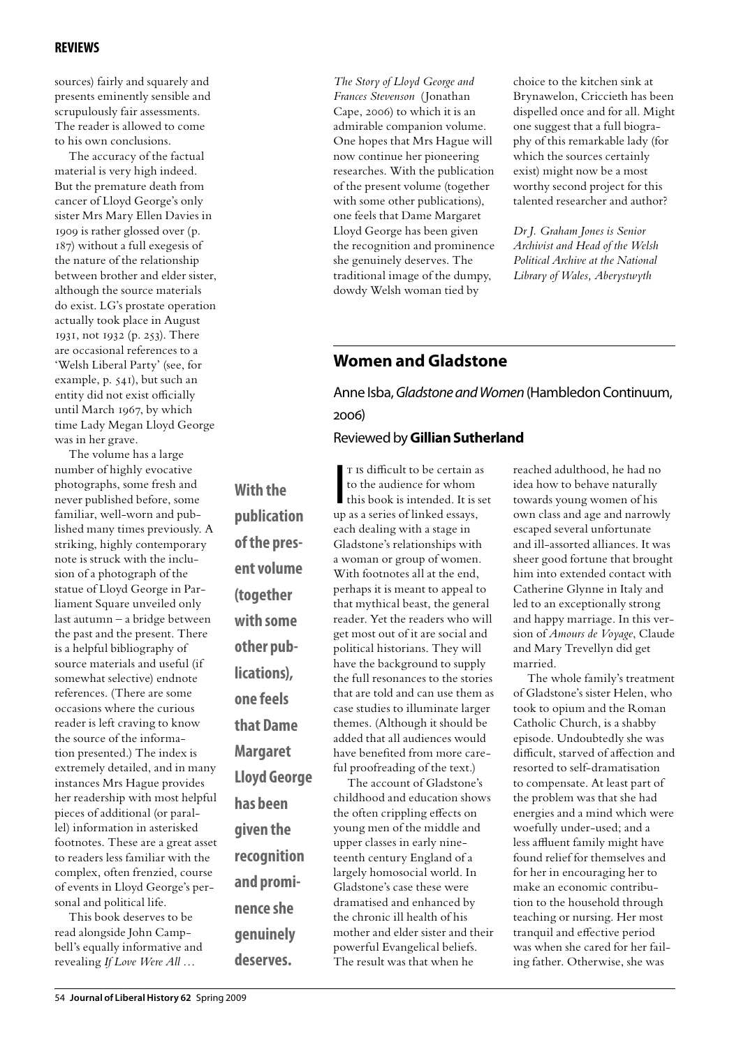## **reviews**

sources) fairly and squarely and presents eminently sensible and scrupulously fair assessments. The reader is allowed to come to his own conclusions.

The accuracy of the factual material is very high indeed. But the premature death from cancer of Lloyd George's only sister Mrs Mary Ellen Davies in 1909 is rather glossed over (p. 187) without a full exegesis of the nature of the relationship between brother and elder sister, although the source materials do exist. LG's prostate operation actually took place in August 1931, not 1932 (p. 253). There are occasional references to a 'Welsh Liberal Party' (see, for example, p. 541), but such an entity did not exist officially until March 1967, by which time Lady Megan Lloyd George was in her grave.

The volume has a large number of highly evocative photographs, some fresh and never published before, some familiar, well-worn and published many times previously. A striking, highly contemporary note is struck with the inclusion of a photograph of the statue of Lloyd George in Parliament Square unveiled only last autumn – a bridge between the past and the present. There is a helpful bibliography of source materials and useful (if somewhat selective) endnote references. (There are some occasions where the curious reader is left craving to know the source of the information presented.) The index is extremely detailed, and in many instances Mrs Hague provides her readership with most helpful pieces of additional (or parallel) information in asterisked footnotes. These are a great asset to readers less familiar with the complex, often frenzied, course of events in Lloyd George's personal and political life.

This book deserves to be read alongside John Campbell's equally informative and revealing *If Love Were All …* 

*The Story of Lloyd George and Frances Stevenson* (Jonathan Cape, 2006) to which it is an admirable companion volume. One hopes that Mrs Hague will now continue her pioneering researches. With the publication of the present volume (together with some other publications), one feels that Dame Margaret Lloyd George has been given the recognition and prominence she genuinely deserves. The traditional image of the dumpy, dowdy Welsh woman tied by

choice to the kitchen sink at Brynawelon, Criccieth has been dispelled once and for all. Might one suggest that a full biography of this remarkable lady (for which the sources certainly exist) might now be a most worthy second project for this talented researcher and author?

*Dr J. Graham Jones is Senior Archivist and Head of the Welsh Political Archive at the National Library of Wales, Aberystwyth* 

## **Women and Gladstone**

Anne Isba, *Gladstone and Women* (Hambledon Continuum, 2006) Reviewed by **Gillian Sutherland**

**With the publication of the present volume (together with some other publications), one feels that Dame Margaret Lloyd George has been given the recognition and prominence she genuinely deserves.**

T Is difficult to be certain as<br>to the audience for whom<br>this book is intended. It is set<br>un as a series of linked assays T IS difficult to be certain as to the audience for whom up as a series of linked essays, each dealing with a stage in Gladstone's relationships with a woman or group of women. With footnotes all at the end, perhaps it is meant to appeal to that mythical beast, the general reader. Yet the readers who will get most out of it are social and political historians. They will have the background to supply the full resonances to the stories that are told and can use them as case studies to illuminate larger themes. (Although it should be added that all audiences would have benefited from more careful proofreading of the text.)

The account of Gladstone's childhood and education shows the often crippling effects on young men of the middle and upper classes in early nineteenth century England of a largely homosocial world. In Gladstone's case these were dramatised and enhanced by the chronic ill health of his mother and elder sister and their powerful Evangelical beliefs. The result was that when he

reached adulthood, he had no idea how to behave naturally towards young women of his own class and age and narrowly escaped several unfortunate and ill-assorted alliances. It was sheer good fortune that brought him into extended contact with Catherine Glynne in Italy and led to an exceptionally strong and happy marriage. In this version of *Amours de Voyage*, Claude and Mary Trevellyn did get married.

The whole family's treatment of Gladstone's sister Helen, who took to opium and the Roman Catholic Church, is a shabby episode. Undoubtedly she was difficult, starved of affection and resorted to self-dramatisation to compensate. At least part of the problem was that she had energies and a mind which were woefully under-used; and a less affluent family might have found relief for themselves and for her in encouraging her to make an economic contribution to the household through teaching or nursing. Her most tranquil and effective period was when she cared for her failing father. Otherwise, she was